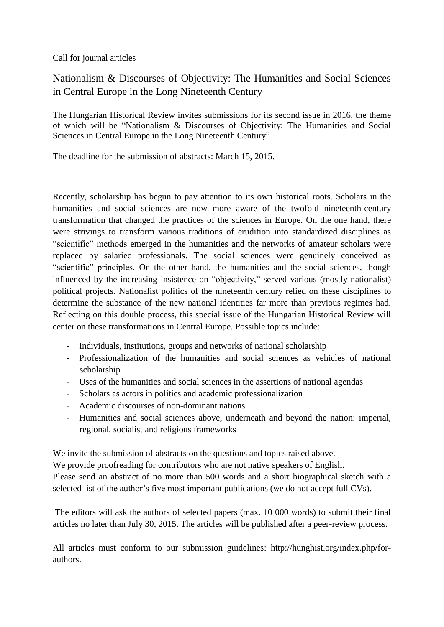Call for journal articles

## Nationalism & Discourses of Objectivity: The Humanities and Social Sciences in Central Europe in the Long Nineteenth Century

The Hungarian Historical Review invites submissions for its second issue in 2016, the theme of which will be "Nationalism & Discourses of Objectivity: The Humanities and Social Sciences in Central Europe in the Long Nineteenth Century".

## The deadline for the submission of abstracts: March 15, 2015.

Recently, scholarship has begun to pay attention to its own historical roots. Scholars in the humanities and social sciences are now more aware of the twofold nineteenth-century transformation that changed the practices of the sciences in Europe. On the one hand, there were strivings to transform various traditions of erudition into standardized disciplines as "scientific" methods emerged in the humanities and the networks of amateur scholars were replaced by salaried professionals. The social sciences were genuinely conceived as "scientific" principles. On the other hand, the humanities and the social sciences, though influenced by the increasing insistence on "objectivity," served various (mostly nationalist) political projects. Nationalist politics of the nineteenth century relied on these disciplines to determine the substance of the new national identities far more than previous regimes had. Reflecting on this double process, this special issue of the Hungarian Historical Review will center on these transformations in Central Europe. Possible topics include:

- Individuals, institutions, groups and networks of national scholarship
- Professionalization of the humanities and social sciences as vehicles of national scholarship
- Uses of the humanities and social sciences in the assertions of national agendas
- Scholars as actors in politics and academic professionalization
- Academic discourses of non-dominant nations
- Humanities and social sciences above, underneath and beyond the nation: imperial, regional, socialist and religious frameworks

We invite the submission of abstracts on the questions and topics raised above.

We provide proofreading for contributors who are not native speakers of English.

Please send an abstract of no more than 500 words and a short biographical sketch with a selected list of the author's five most important publications (we do not accept full CVs).

The editors will ask the authors of selected papers (max. 10 000 words) to submit their final articles no later than July 30, 2015. The articles will be published after a peer-review process.

All articles must conform to our submission guidelines: http://hunghist.org/index.php/forauthors.